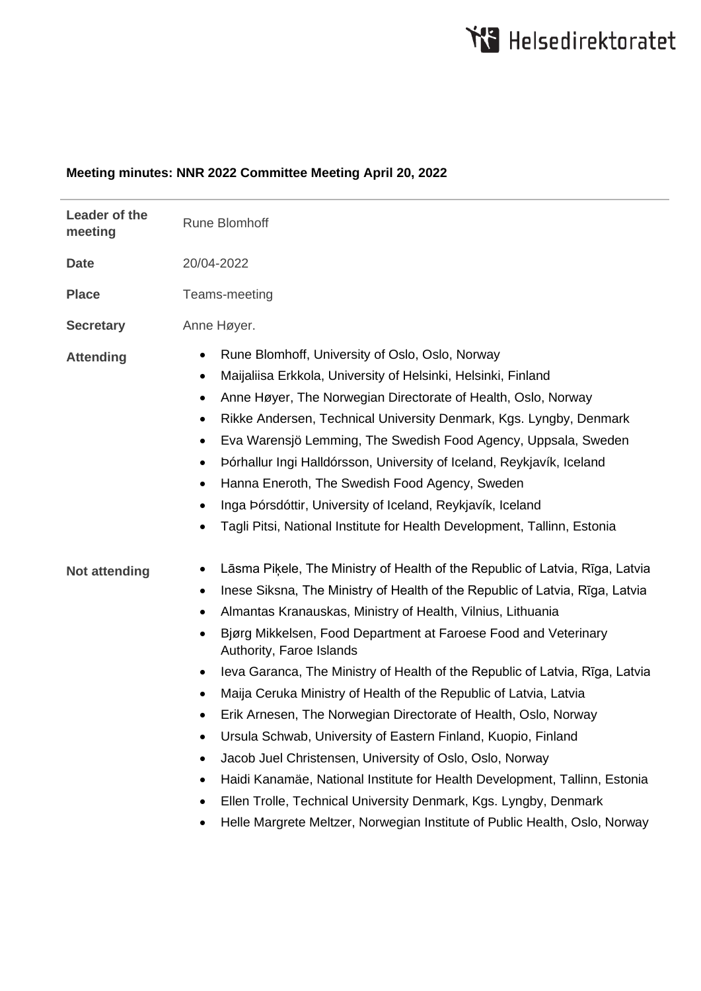## **Meeting minutes: NNR 2022 Committee Meeting April 20, 2022**

| Leader of the<br>meeting | <b>Rune Blomhoff</b>                                                                                                                                                                                                                                                                                                                                                                                                                                                                                                                                                                                                                                                                                                                                                                                                                                                                                                                                                            |
|--------------------------|---------------------------------------------------------------------------------------------------------------------------------------------------------------------------------------------------------------------------------------------------------------------------------------------------------------------------------------------------------------------------------------------------------------------------------------------------------------------------------------------------------------------------------------------------------------------------------------------------------------------------------------------------------------------------------------------------------------------------------------------------------------------------------------------------------------------------------------------------------------------------------------------------------------------------------------------------------------------------------|
| <b>Date</b>              | 20/04-2022                                                                                                                                                                                                                                                                                                                                                                                                                                                                                                                                                                                                                                                                                                                                                                                                                                                                                                                                                                      |
| <b>Place</b>             | Teams-meeting                                                                                                                                                                                                                                                                                                                                                                                                                                                                                                                                                                                                                                                                                                                                                                                                                                                                                                                                                                   |
| <b>Secretary</b>         | Anne Høyer.                                                                                                                                                                                                                                                                                                                                                                                                                                                                                                                                                                                                                                                                                                                                                                                                                                                                                                                                                                     |
| <b>Attending</b>         | Rune Blomhoff, University of Oslo, Oslo, Norway<br>٠<br>Maijaliisa Erkkola, University of Helsinki, Helsinki, Finland<br>٠<br>Anne Høyer, The Norwegian Directorate of Health, Oslo, Norway<br>٠<br>Rikke Andersen, Technical University Denmark, Kgs. Lyngby, Denmark<br>٠<br>Eva Warensjö Lemming, The Swedish Food Agency, Uppsala, Sweden<br>$\bullet$<br>Þórhallur Ingi Halldórsson, University of Iceland, Reykjavík, Iceland<br>٠<br>Hanna Eneroth, The Swedish Food Agency, Sweden<br>٠<br>Inga Þórsdóttir, University of Iceland, Reykjavík, Iceland<br>٠<br>Tagli Pitsi, National Institute for Health Development, Tallinn, Estonia                                                                                                                                                                                                                                                                                                                                  |
| <b>Not attending</b>     | Lāsma Piķele, The Ministry of Health of the Republic of Latvia, Rīga, Latvia<br>٠<br>Inese Siksna, The Ministry of Health of the Republic of Latvia, Rīga, Latvia<br>$\bullet$<br>Almantas Kranauskas, Ministry of Health, Vilnius, Lithuania<br>٠<br>Bjørg Mikkelsen, Food Department at Faroese Food and Veterinary<br>$\bullet$<br>Authority, Faroe Islands<br>Ieva Garanca, The Ministry of Health of the Republic of Latvia, Rīga, Latvia<br>٠<br>Maija Ceruka Ministry of Health of the Republic of Latvia, Latvia<br>٠<br>Erik Arnesen, The Norwegian Directorate of Health, Oslo, Norway<br>Ursula Schwab, University of Eastern Finland, Kuopio, Finland<br>Jacob Juel Christensen, University of Oslo, Oslo, Norway<br>$\bullet$<br>Haidi Kanamäe, National Institute for Health Development, Tallinn, Estonia<br>٠<br>Ellen Trolle, Technical University Denmark, Kgs. Lyngby, Denmark<br>Helle Margrete Meltzer, Norwegian Institute of Public Health, Oslo, Norway |